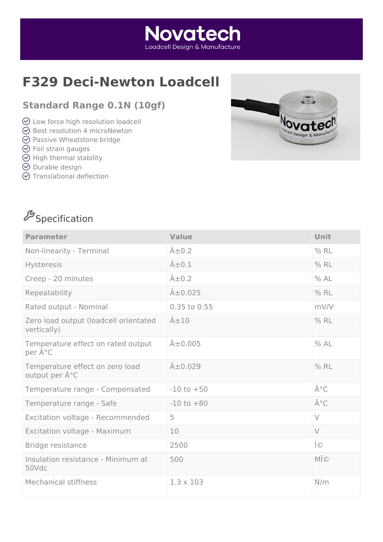# **F329 Deci-Newton Loadcell**

#### **Standard Range 0.1N (10gf)**

- Low force high resolution loadcell
- $\odot$  Best resolution 4 microNewton
- **⊙** Passive Wheatstone bridge
- $\odot$  Foil strain gauges
- $\Theta$  High thermal stability
- $\odot$  Durable design
- $\odot$  Translational deflection



# $\mathscr{S}_\mathsf{Spec}$ ification

| <b>Parameter</b>                                     | <b>Value</b>        | Unit         |
|------------------------------------------------------|---------------------|--------------|
| Non-linearity - Terminal                             | $\hat{A} \pm 0.2$   | $%$ RL       |
| Hysteresis                                           | $\hat{A} \pm 0.1$   | $%$ RL       |
| Creep - 20 minutes                                   | $\hat{A} \pm 0.2$   | %AL          |
| Repeatability                                        | $\hat{A} \pm 0.025$ | $%$ RL       |
| Rated output - Nominal                               | 0.35 to 0.55        | mV/V         |
| Zero load output (loadcell orientated<br>vertically) | $\hat{A} \pm 10$    | $%$ RL       |
| Temperature effect on rated output<br>per °C         | $\hat{A} \pm 0.005$ | %AL          |
| Temperature effect on zero load<br>output per °C     | $A\pm0.029$         | $%$ RL       |
| Temperature range - Compensated                      | $-10$ to $+50$      | °C           |
| Temperature range - Safe                             | $-10$ to $+80$      | °C           |
| Excitation voltage - Recommended                     | 5                   | $\vee$       |
| Excitation voltage - Maximum                         | 10                  | $\vee$       |
| Bridge resistance                                    | 2500                | Ω            |
| Insulation resistance - Minimum at<br>50Vdc          | 500                 | $M\hat{I}$ © |
| <b>Mechanical stiffness</b>                          | $1.3 \times 103$    | N/m          |

**Novatech** Loadcell Desian & Manufacture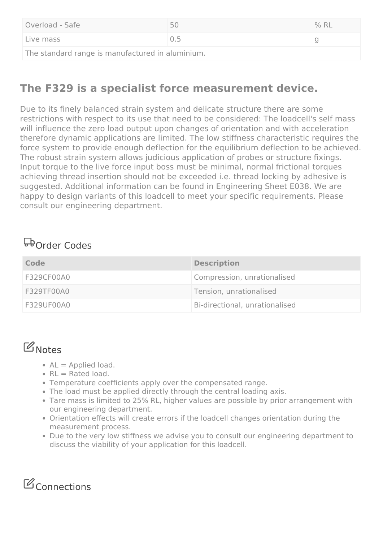| Overload - Safe                                  | 50    | $%$ RL |
|--------------------------------------------------|-------|--------|
| Live mass                                        | (1.5) |        |
| The standard range is manufactured in aluminium. |       |        |

### **The F329 is a specialist force measurement device.**

Due to its finely balanced strain system and delicate structure there are some restrictions with respect to its use that need to be considered: The loadcell's self mass will influence the zero load output upon changes of orientation and with acceleration therefore dynamic applications are limited. The low stiffness characteristic requires the force system to provide enough deflection for the equilibrium deflection to be achieved. The robust strain system allows judicious application of probes or structure fixings. Input torque to the live force input boss must be minimal, normal frictional torques achieving thread insertion should not be exceeded i.e. thread locking by adhesive is suggested. Additional information can be found in Engineering Sheet E038. We are happy to design variants of this loadcell to meet your specific requirements. Please consult our engineering department.

### **Order Codes**

| Code       | <b>Description</b>             |
|------------|--------------------------------|
| F329CF00A0 | Compression, unrationalised    |
| F329TF00A0 | Tension, unrationalised        |
| F329UF00A0 | Bi-directional, unrationalised |

### **B**Notes

- $AL =$  Applied load.
- $\cdot$  RL = Rated load.
- Temperature coefficients apply over the compensated range.
- The load must be applied directly through the central loading axis.
- Tare mass is limited to 25% RL, higher values are possible by prior arrangement with our engineering department.
- Orientation effects will create errors if the loadcell changes orientation during the measurement process.
- Due to the very low stiffness we advise you to consult our engineering department to discuss the viability of your application for this loadcell.

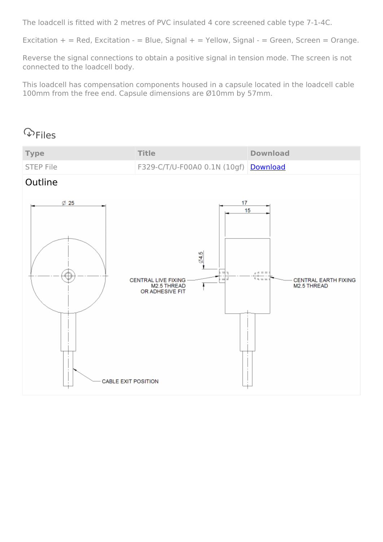The loadcell is fitted with 2 metres of PVC insulated 4 core screened cable type 7-1-4C.

Excitation  $+$  = Red, Excitation - = Blue, Signal + = Yellow, Signal - = Green, Screen = Orange.

Reverse the signal connections to obtain a positive signal in tension mode. The screen is not connected to the loadcell body.

This loadcell has compensation components housed in a capsule located in the loadcell cable 100mm from the free end. Capsule dimensions are Ø10mm by 57mm.